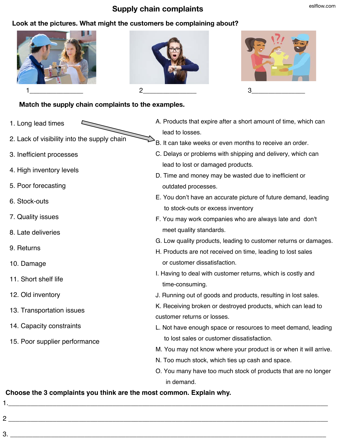## **Supply chain complaints** eslflow.com

## **Look at the pictures. What might the customers be complaining about?**







## **Match the supply chain complaints to the examples.**

- 1. Long lead times
- 2. Lack of visibility into the supply chain
- 3. Inefficient processes
- 4. High inventory levels
- 5. Poor forecasting
- 6. Stock-outs
- 7. Quality issues
- 8. Late deliveries
- 9. Returns
- 10. Damage
- 11. Short shelf life
- 12. Old inventory

1.\_\_\_\_\_\_\_\_\_\_\_\_\_\_\_\_\_\_\_\_\_\_\_\_\_\_\_\_\_\_\_\_\_\_\_\_\_\_\_\_\_\_\_\_\_\_\_\_\_\_\_\_\_\_\_\_\_\_\_\_\_\_\_\_\_\_\_\_\_\_\_\_\_\_\_\_\_\_\_\_\_\_\_\_\_\_

- 13. Transportation issues
- 14. Capacity constraints
- 15. Poor supplier performance
- A. Products that expire after a short amount of time, which can lead to losses.
- B. It can take weeks or even months to receive an order.
- C. Delays or problems with shipping and delivery, which can lead to lost or damaged products.
- D. Time and money may be wasted due to inefficient or outdated processes.
- E. You don't have an accurate picture of future demand, leading to stock-outs or excess inventory
- F. You may work companies who are always late and don't meet quality standards.
- G. Low quality products, leading to customer returns or damages.
- H. Products are not received on time, leading to lost sales or customer dissatisfaction.
- I. Having to deal with customer returns, which is costly and time-consuming.
- J. Running out of goods and products, resulting in lost sales.
- K. Receiving broken or destroyed products, which can lead to customer returns or losses.
- L. Not have enough space or resources to meet demand, leading to lost sales or customer dissatisfaction.
- M. You may not know where your product is or when it will arrive.
- N. Too much stock, which ties up cash and space.
- O. You many have too much stock of products that are no longer in demand.

## **Choose the 3 complaints you think are the most common. Explain why.**

2 \_\_\_\_\_\_\_\_\_\_\_\_\_\_\_\_\_\_\_\_\_\_\_\_\_\_\_\_\_\_\_\_\_\_\_\_\_\_\_\_\_\_\_\_\_\_\_\_\_\_\_\_\_\_\_\_\_\_\_\_\_\_\_\_\_\_\_\_\_\_\_\_\_\_\_\_\_\_\_\_\_\_\_\_\_\_

 $3.$